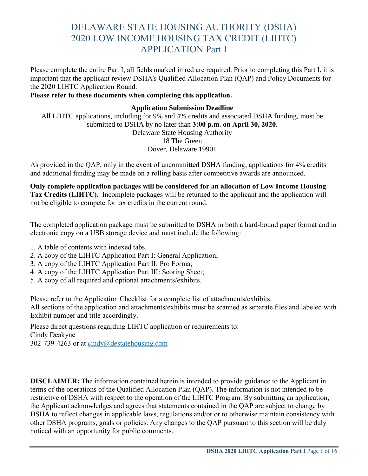Please complete the entire Part I, all fields marked in red are required. Prior to completing this Part I, it is important that the applicant review DSHA's Qualified Allocation Plan (QAP) and Policy Documents for the 2020 LIHTC Application Round.

**Please refer to these documents when completing this application.** 

#### **Application Submission Deadline**

All LIHTC applications, including for 9% and 4% credits and associated DSHA funding, must be submitted to DSHA by no later than **3:00 p.m. on April 30, 2020.** Delaware State Housing Authority 18 The Green Dover, Delaware 19901

As provided in the QAP, only in the event of uncommitted DSHA funding, applications for 4% credits and additional funding may be made on a rolling basis after competitive awards are announced.

**Only complete application packages will be considered for an allocation of Low Income Housing Tax Credits (LIHTC).** Incomplete packages will be returned to the applicant and the application will not be eligible to compete for tax credits in the current round.

The completed application package must be submitted to DSHA in both a hard-bound paper format and in electronic copy on a USB storage device and must include the following:

- 1. A table of contents with indexed tabs.
- 2. A copy of the LIHTC Application Part I: General Application;
- 3. A copy of the LIHTC Application Part II: Pro Forma;
- 4. A copy of the LIHTC Application Part III: Scoring Sheet;
- 5. A copy of all required and optional attachments/exhibits.

Please refer to the Application Checklist for a complete list of attachments/exhibits.

All sections of the application and attachments/exhibits must be scanned as separate files and labeled with Exhibit number and title accordingly.

Please direct questions regarding LIHTC application or requirements to: Cindy Deakyne

302-739-4263 or at [cindy@destatehousing.com](mailto:cindy@destatehousing.com)

**DISCLAIMER:** The information contained herein is intended to provide guidance to the Applicant in terms of the operations of the Qualified Allocation Plan (QAP). The information is not intended to be restrictive of DSHA with respect to the operation of the LIHTC Program. By submitting an application, the Applicant acknowledges and agrees that statements contained in the QAP are subject to change by DSHA to reflect changes in applicable laws, regulations and/or or to otherwise maintain consistency with other DSHA programs, goals or policies. Any changes to the QAP pursuant to this section will be duly noticed with an opportunity for public comments.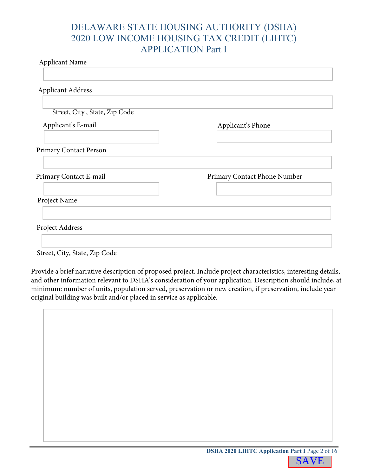| <b>Applicant Address</b>      |                              |
|-------------------------------|------------------------------|
| Street, City, State, Zip Code |                              |
| Applicant's E-mail            | Applicant's Phone            |
| <b>Primary Contact Person</b> |                              |
| Primary Contact E-mail        | Primary Contact Phone Number |
| Project Name                  |                              |
|                               |                              |
| Project Address               |                              |

Street, City, State, Zip Code

Provide a brief narrative description of proposed project. Include project characteristics, interesting details, and other information relevant to DSHA's consideration of your application. Description should include, at minimum: number of units, population served, preservation or new creation, if preservation, include year original building was built and/or placed in service as applicable.

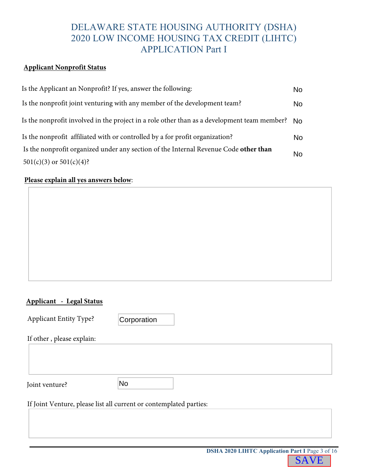#### **Applicant Nonprofit Status**

| Is the Applicant an Nonprofit? If yes, answer the following:                                               | <b>No</b> |
|------------------------------------------------------------------------------------------------------------|-----------|
| Is the nonprofit joint venturing with any member of the development team?                                  | <b>No</b> |
| Is the nonprofit involved in the project in a role other than as a development team member? $\overline{N}$ |           |
| Is the nonprofit affiliated with or controlled by a for profit organization?                               | <b>No</b> |
| Is the nonprofit organized under any section of the Internal Revenue Code other than                       | <b>No</b> |
| $501(c)(3)$ or $501(c)(4)$ ?                                                                               |           |

#### **Please explain all yes answers below**:

#### **Applicant - Legal Status**

Applicant Entity Type?

Corporation

If other , please explain:

Joint venture?

No

If Joint Venture, please list all current or contemplated parties: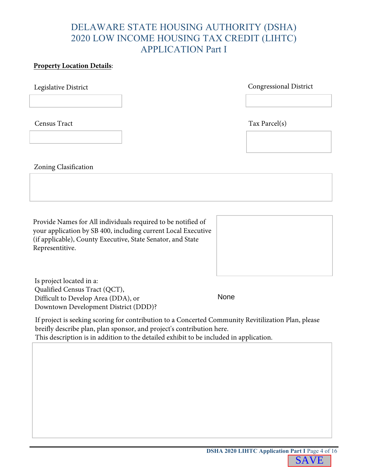#### **Property Location Details**:

Legislative District

Census Tract Tax Parcel(s)

Congressional District

Zoning Clasification

Provide Names for All individuals required to be notified of your application by SB 400, including current Local Executive (if applicable), County Executive, State Senator, and State Representitive.

Is project located in a: Qualified Census Tract (QCT), Difficult to Develop Area (DDA), or Downtown Development District (DDD)?

None

If project is seeking scoring for contribution to a Concerted Community Revitilization Plan, please breifly describe plan, plan sponsor, and project's contribution here. This description is in addition to the detailed exhibit to be included in application.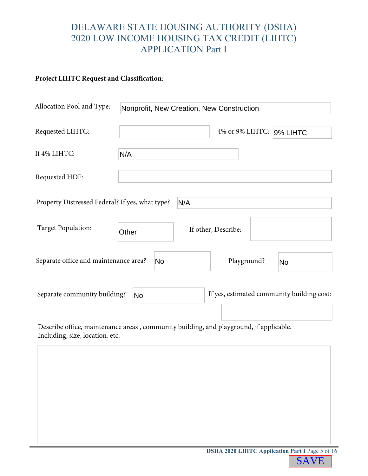#### **Project LIHTC Request and Classification**:

| Allocation Pool and Type:                                                        | Nonprofit, New Creation, New Construction |           |     |                     |  |                                            |
|----------------------------------------------------------------------------------|-------------------------------------------|-----------|-----|---------------------|--|--------------------------------------------|
| Requested LIHTC:                                                                 |                                           |           |     |                     |  | 4% or 9% LIHTC: 9% LIHTC                   |
| If 4% LIHTC:                                                                     | N/A                                       |           |     |                     |  |                                            |
| Requested HDF:                                                                   |                                           |           |     |                     |  |                                            |
| Property Distressed Federal? If yes, what type?                                  |                                           |           | N/A |                     |  |                                            |
| <b>Target Population:</b>                                                        | Other                                     |           |     | If other, Describe: |  |                                            |
| Separate office and maintenance area?                                            |                                           | <b>No</b> |     | Playground?         |  | No                                         |
| Separate community building?                                                     | <b>No</b>                                 |           |     |                     |  | If yes, estimated community building cost: |
| Describe office meintenance quees community building and play quound if annualle |                                           |           |     |                     |  |                                            |

Describe office, maintenance areas , community building, and playground, if applicable. Including, size, location, etc.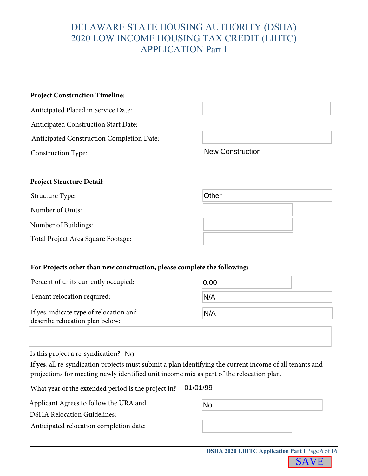#### **Project Construction Timeline**:

Anticipated Placed in Service Date:

Anticipated Construction Start Date:

Anticipated Construction Completion Date:

Construction Type:

New Construction

**Other** 

#### **Project Structure Detail**:

Structure Type:

Number of Units:

Number of Buildings:

Total Project Area Square Footage:

#### **For Projects other than new construction, please complete the following:**

| Percent of units currently occupied:                                       | 0.00 |
|----------------------------------------------------------------------------|------|
| Tenant relocation required:                                                | N/A  |
| If yes, indicate type of relocation and<br>describe relocation plan below: | N/A  |

Is this project a re-syndication? No

If **yes**, all re-syndication projects must submit a plan identifying the current income of all tenants and projections for meeting newly identified unit income mix as part of the relocation plan.

| What year of the extended period is the project in? 01/01/99 |  |
|--------------------------------------------------------------|--|
|--------------------------------------------------------------|--|

Applicant Agrees to follow the URA and

DSHA Relocation Guidelines:

| No |  |  |  |
|----|--|--|--|
|    |  |  |  |
|    |  |  |  |

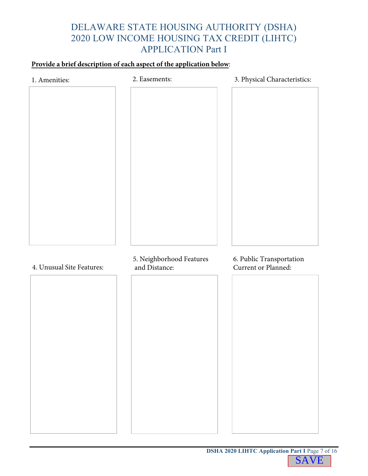#### **Provide a brief description of each aspect of the application below**:

| 1. Amenities:             | 2. Easements:                             | 3. Physical Characteristics:                    |
|---------------------------|-------------------------------------------|-------------------------------------------------|
|                           |                                           |                                                 |
|                           |                                           |                                                 |
|                           |                                           |                                                 |
|                           |                                           |                                                 |
|                           |                                           |                                                 |
|                           |                                           |                                                 |
|                           |                                           |                                                 |
|                           |                                           |                                                 |
|                           |                                           |                                                 |
|                           |                                           |                                                 |
|                           |                                           |                                                 |
|                           |                                           |                                                 |
|                           |                                           |                                                 |
| 4. Unusual Site Features: | 5. Neighborhood Features<br>and Distance: | 6. Public Transportation<br>Current or Planned: |
|                           |                                           |                                                 |
|                           |                                           |                                                 |
|                           |                                           |                                                 |
|                           |                                           |                                                 |
|                           |                                           |                                                 |
|                           |                                           |                                                 |
|                           |                                           |                                                 |
|                           |                                           |                                                 |
|                           |                                           |                                                 |
|                           |                                           |                                                 |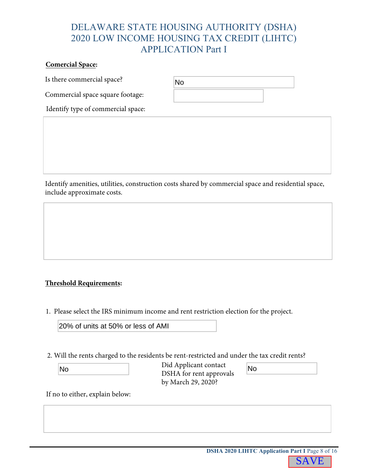#### **Comercial Space:**

Is there commercial space?

|  | Commercial space square footage: |
|--|----------------------------------|
|  |                                  |

| No |  |  |  |
|----|--|--|--|
|    |  |  |  |

Identify type of commercial space:

Identify amenities, utilities, construction costs shared by commercial space and residential space, include approximate costs.

#### **Threshold Requirements:**

1. Please select the IRS minimum income and rent restriction election for the project.

20% of units at 50% or less of AMI

2. Will the rents charged to the residents be rent-restricted and under the tax credit rents?

| No |  |  |  |
|----|--|--|--|
|    |  |  |  |

Did Applicant contact No Did Applicant Contact<br>DSHA for rent approvals No by March 29, 2020?

If no to either, explain below: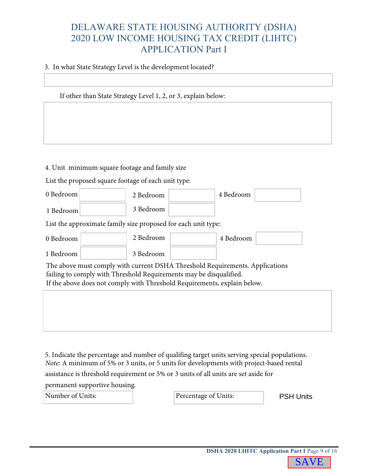#### 3. In what State Strategy Level is the development located?

If other than State Strategy Level 1, 2, or 3, explain below:

4. Unit minimum square footage and family size

List the proposed square footage of each unit type:

| 0 Bedroom                                                                    | 2 Bedroom |  | 4 Bedroom |  |  |  |  |
|------------------------------------------------------------------------------|-----------|--|-----------|--|--|--|--|
| 1 Bedroom                                                                    | 3 Bedroom |  |           |  |  |  |  |
| List the approximate family size proposed for each unit type:                |           |  |           |  |  |  |  |
| 0 Bedroom                                                                    | 2 Bedroom |  | 4 Bedroom |  |  |  |  |
| 1 Bedroom                                                                    | 3 Bedroom |  |           |  |  |  |  |
| The above must comply with current DSHA Threshold Requirements. Applications |           |  |           |  |  |  |  |
| failing to comply with Threshold Requirements may be disqualified.           |           |  |           |  |  |  |  |
| If the above does not comply with Threshold Requirements, explain below.     |           |  |           |  |  |  |  |
|                                                                              |           |  |           |  |  |  |  |
|                                                                              |           |  |           |  |  |  |  |

5. Indicate the percentage and number of qualifing target units serving special populations. *Note*: A minimum of 5% or 3 units, or 5 units for developments with project-based rental assistance is threshold requirement or 5% or 3 units of all units are set aside for permanent supportive housing.

Number of Units:  $\vert$  Percentage of Units:

PSH Units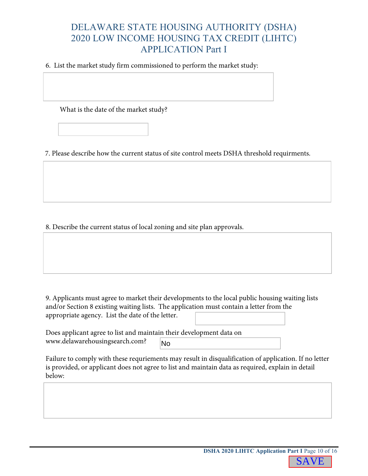6. List the market study firm commissioned to perform the market study:

What is the date of the market study?

7. Please describe how the current status of site control meets DSHA threshold requirments.

8. Describe the current status of local zoning and site plan approvals.

9. Applicants must agree to market their developments to the local public housing waiting lists and/or Section 8 existing waiting lists. The application must contain a letter from the appropriate agency. List the date of the letter.

Does applicant agree to list and maintain their development data on www.delawarehousingsearch.com? No

Failure to comply with these requriements may result in disqualification of application. If no letter is provided, or applicant does not agree to list and maintain data as required, explain in detail below: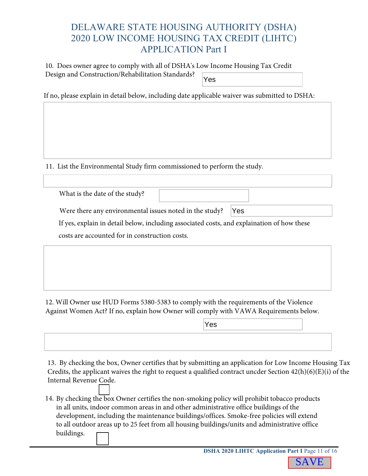| 10. Does owner agree to comply with all of DSHA's Low Income Housing Tax Credit |     |
|---------------------------------------------------------------------------------|-----|
| Design and Construction/Rehabilitation Standards?                               | Yes |

If no, please explain in detail below, including date applicable waiver was submitted to DSHA:

11. List the Environmental Study firm commissioned to perform the study.

What is the date of the study?

Were there any environmental issues noted in the study? Yes

If yes, explain in detail below, including associated costs, and explaination of how these costs are accounted for in construction costs.

12. Will Owner use HUD Forms 5380-5383 to comply with the requirements of the Violence Against Women Act? If no, explain how Owner will comply with VAWA Requirements below.

13. By checking the box, Owner certifies that by submitting an application for Low Income Housing Tax Credits, the applicant waives the right to request a qualified contract uncder Section 42(h)(6)(E)(i) of the Internal Revenue Code.

Yes

14. By checking the box Owner certifies the non-smoking policy will prohibit tobacco products in all units, indoor common areas in and other administrative office buildings of the development, including the maintenance buildings/offices. Smoke-free policies will extend to all outdoor areas up to 25 feet from all housing buildings/units and administrative office buildings.

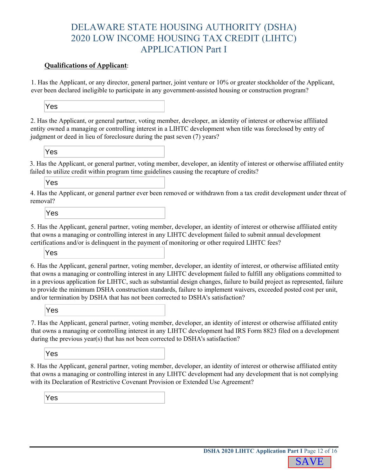#### **Qualifications of Applicant**:

1. Has the Applicant, or any director, general partner, joint venture or 10% or greater stockholder of the Applicant, ever been declared ineligible to participate in any government-assisted housing or construction program?

Yes

2. Has the Applicant, or general partner, voting member, developer, an identity of interest or otherwise affiliated entity owned a managing or controlling interest in a LIHTC development when title was foreclosed by entry of judgment or deed in lieu of foreclosure during the past seven (7) years?

Yes

3. Has the Applicant, or general partner, voting member, developer, an identity of interest or otherwise affiliated entity failed to utilize credit within program time guidelines causing the recapture of credits?

Yes

4. Has the Applicant, or general partner ever been removed or withdrawn from a tax credit development under threat of removal?

Yes

5. Has the Applicant, general partner, voting member, developer, an identity of interest or otherwise affiliated entity that owns a managing or controlling interest in any LIHTC development failed to submit annual development certifications and/or is delinquent in the payment of monitoring or other required LIHTC fees?

Yes

6. Has the Applicant, general partner, voting member, developer, an identity of interest, or otherwise affiliated entity that owns a managing or controlling interest in any LIHTC development failed to fulfill any obligations committed to in a previous application for LIHTC, such as substantial design changes, failure to build project as represented, failure to provide the minimum DSHA construction standards, failure to implement waivers, exceeded posted cost per unit, and/or termination by DSHA that has not been corrected to DSHA's satisfaction?

Yes

7. Has the Applicant, general partner, voting member, developer, an identity of interest or otherwise affiliated entity that owns a managing or controlling interest in any LIHTC development had IRS Form 8823 filed on a development during the previous year(s) that has not been corrected to DSHA's satisfaction?

Yes

8. Has the Applicant, general partner, voting member, developer, an identity of interest or otherwise affiliated entity that owns a managing or controlling interest in any LIHTC development had any development that is not complying with its Declaration of Restrictive Covenant Provision or Extended Use Agreement?

Yes

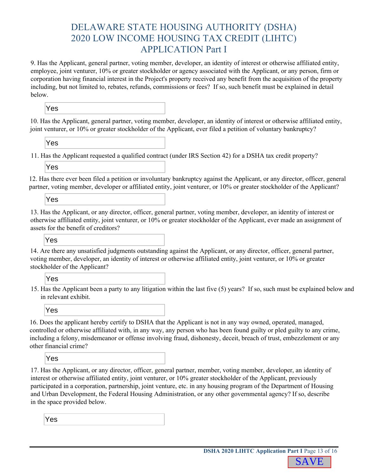9. Has the Applicant, general partner, voting member, developer, an identity of interest or otherwise affiliated entity, employee, joint venturer, 10% or greater stockholder or agency associated with the Applicant, or any person, firm or corporation having financial interest in the Project's property received any benefit from the acquisition of the property including, but not limited to, rebates, refunds, commissions or fees? If so, such benefit must be explained in detail below.

Yes

10. Has the Applicant, general partner, voting member, developer, an identity of interest or otherwise affiliated entity, joint venturer, or 10% or greater stockholder of the Applicant, ever filed a petition of voluntary bankruptcy?

Yes

11. Has the Applicant requested a qualified contract (under IRS Section 42) for a DSHA tax credit property?

Yes

12. Has there ever been filed a petition or involuntary bankruptcy against the Applicant, or any director, officer, general partner, voting member, developer or affiliated entity, joint venturer, or 10% or greater stockholder of the Applicant?

Yes

13. Has the Applicant, or any director, officer, general partner, voting member, developer, an identity of interest or otherwise affiliated entity, joint venturer, or 10% or greater stockholder of the Applicant, ever made an assignment of assets for the benefit of creditors?

Yes

14. Are there any unsatisfied judgments outstanding against the Applicant, or any director, officer, general partner, voting member, developer, an identity of interest or otherwise affiliated entity, joint venturer, or 10% or greater stockholder of the Applicant?

Yes

15. Has the Applicant been a party to any litigation within the last five (5) years? If so, such must be explained below and in relevant exhibit.



16. Does the applicant hereby certify to DSHA that the Applicant is not in any way owned, operated, managed, controlled or otherwise affiliated with, in any way, any person who has been found guilty or pled guilty to any crime, including a felony, misdemeanor or offense involving fraud, dishonesty, deceit, breach of trust, embezzlement or any other financial crime?

Yes

17. Has the Applicant, or any director, officer, general partner, member, voting member, developer, an identity of interest or otherwise affiliated entity, joint venturer, or 10% greater stockholder of the Applicant, previously participated in a corporation, partnership, joint venture, etc. in any housing program of the Department of Housing and Urban Development, the Federal Housing Administration, or any other governmental agency? If so, describe in the space provided below.

Yes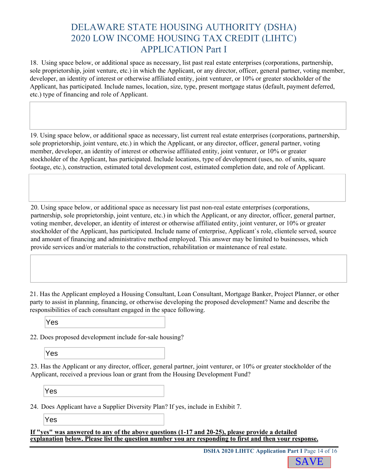18. Using space below, or additional space as necessary, list past real estate enterprises (corporations, partnership, sole proprietorship, joint venture, etc.) in which the Applicant, or any director, officer, general partner, voting member, developer, an identity of interest or otherwise affiliated entity, joint venturer, or 10% or greater stockholder of the Applicant, has participated. Include names, location, size, type, present mortgage status (default, payment deferred, etc.) type of financing and role of Applicant.

19. Using space below, or additional space as necessary, list current real estate enterprises (corporations, partnership, sole proprietorship, joint venture, etc.) in which the Applicant, or any director, officer, general partner, voting member, developer, an identity of interest or otherwise affiliated entity, joint venturer, or 10% or greater stockholder of the Applicant, has participated. Include locations, type of development (uses, no. of units, square footage, etc.), construction, estimated total development cost, estimated completion date, and role of Applicant.

20. Using space below, or additional space as necessary list past non-real estate enterprises (corporations, partnership, sole proprietorship, joint venture, etc.) in which the Applicant, or any director, officer, general partner, voting member, developer, an identity of interest or otherwise affiliated entity, joint venturer, or 10% or greater stockholder of the Applicant, has participated. Include name of enterprise, Applicant`s role, clientele served, source and amount of financing and administrative method employed. This answer may be limited to businesses, which provide services and/or materials to the construction, rehabilitation or maintenance of real estate.

21. Has the Applicant employed a Housing Consultant, Loan Consultant, Mortgage Banker, Project Planner, or other party to assist in planning, financing, or otherwise developing the proposed development? Name and describe the responsibilities of each consultant engaged in the space following.

Yes

22. Does proposed development include for-sale housing?

Yes

23. Has the Applicant or any director, officer, general partner, joint venturer, or 10% or greater stockholder of the Applicant, received a previous loan or grant from the Housing Development Fund?

Yes

24. Does Applicant have a Supplier Diversity Plan? If yes, include in Exhibit 7.

Yes

**If "yes" was answered to any of the above questions (1-17 and 20-25), please provide a detailed explanation below. Please list the question number you are responding to first and then your response.**

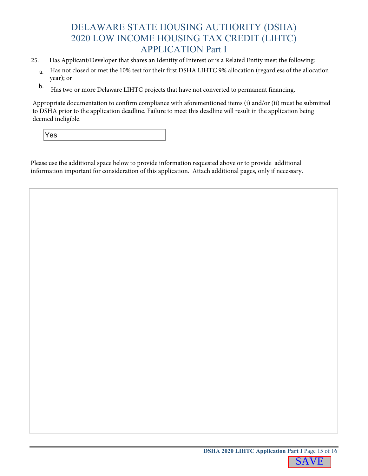- 25. Has Applicant/Developer that shares an Identity of Interest or is a Related Entity meet the following:
	- a. Has not closed or met the 10% test for their first DSHA LIHTC 9% allocation (regardless of the allocation year); or
	- b. Has two or more Delaware LIHTC projects that have not converted to permanent financing.

Appropriate documentation to confirm compliance with aforementioned items (i) and/or (ii) must be submitted to DSHA prior to the application deadline. Failure to meet this deadline will result in the application being deemed ineligible.

| $\cdot$<br>$\tilde{\phantom{a}}$ |  |  |  |
|----------------------------------|--|--|--|
|                                  |  |  |  |

Please use the additional space below to provide information requested above or to provide additional information important for consideration of this application. Attach additional pages, only if necessary.